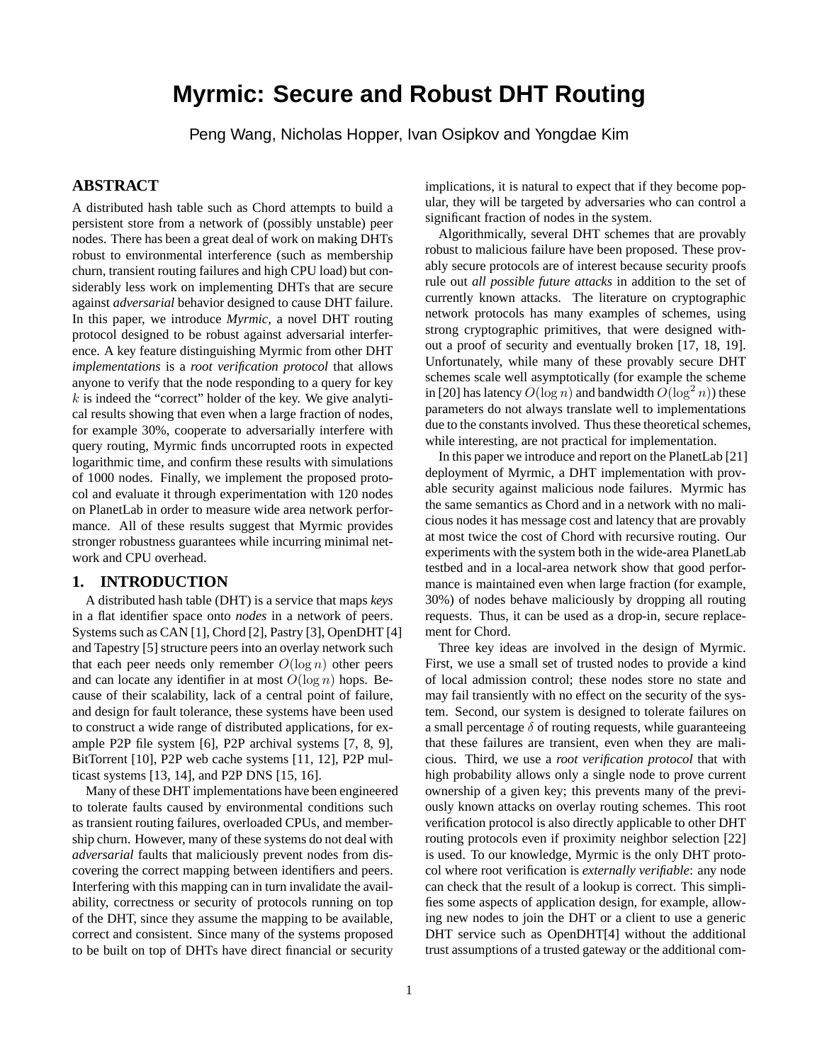# **Myrmic: Secure and Robust DHT Routing**

Peng Wang, Nicholas Hopper, Ivan Osipkov and Yongdae Kim

# **ABSTRACT**

A distributed hash table such as Chord attempts to build a persistent store from a network of (possibly unstable) peer nodes. There has been a great deal of work on making DHTs robust to environmental interference (such as membership churn, transient routing failures and high CPU load) but considerably less work on implementing DHTs that are secure against *adversarial* behavior designed to cause DHT failure. In this paper, we introduce *Myrmic*, a novel DHT routing protocol designed to be robust against adversarial interference. A key feature distinguishing Myrmic from other DHT *implementations* is a *root verification protocol* that allows anyone to verify that the node responding to a query for key  $k$  is indeed the "correct" holder of the key. We give analytical results showing that even when a large fraction of nodes, for example 30%, cooperate to adversarially interfere with query routing, Myrmic finds uncorrupted roots in expected logarithmic time, and confirm these results with simulations of 1000 nodes. Finally, we implement the proposed protocol and evaluate it through experimentation with 120 nodes on PlanetLab in order to measure wide area network performance. All of these results suggest that Myrmic provides stronger robustness guarantees while incurring minimal network and CPU overhead.

#### **1. INTRODUCTION**

A distributed hash table (DHT) is a service that maps *keys* in a flat identifier space onto *nodes* in a network of peers. Systems such as CAN [1], Chord [2], Pastry [3], OpenDHT [4] and Tapestry [5] structure peers into an overlay network such that each peer needs only remember  $O(\log n)$  other peers and can locate any identifier in at most  $O(\log n)$  hops. Because of their scalability, lack of a central point of failure, and design for fault tolerance, these systems have been used to construct a wide range of distributed applications, for example P2P file system [6], P2P archival systems [7, 8, 9], BitTorrent [10], P2P web cache systems [11, 12], P2P multicast systems [13, 14], and P2P DNS [15, 16].

Many of these DHT implementations have been engineered to tolerate faults caused by environmental conditions such as transient routing failures, overloaded CPUs, and membership churn. However, many of these systems do not deal with *adversarial* faults that maliciously prevent nodes from discovering the correct mapping between identifiers and peers. Interfering with this mapping can in turn invalidate the availability, correctness or security of protocols running on top of the DHT, since they assume the mapping to be available, correct and consistent. Since many of the systems proposed to be built on top of DHTs have direct financial or security

implications, it is natural to expect that if they become popular, they will be targeted by adversaries who can control a significant fraction of nodes in the system.

Algorithmically, several DHT schemes that are provably robust to malicious failure have been proposed. These provably secure protocols are of interest because security proofs rule out *all possible future attacks* in addition to the set of currently known attacks. The literature on cryptographic network protocols has many examples of schemes, using strong cryptographic primitives, that were designed without a proof of security and eventually broken [17, 18, 19]. Unfortunately, while many of these provably secure DHT schemes scale well asymptotically (for example the scheme in [20] has latency  $O(\log n)$  and bandwidth  $O(\log^2 n)$ ) these parameters do not always translate well to implementations due to the constants involved. Thus these theoretical schemes, while interesting, are not practical for implementation.

In this paper we introduce and report on the PlanetLab [21] deployment of Myrmic, a DHT implementation with provable security against malicious node failures. Myrmic has the same semantics as Chord and in a network with no malicious nodes it has message cost and latency that are provably at most twice the cost of Chord with recursive routing. Our experiments with the system both in the wide-area PlanetLab testbed and in a local-area network show that good performance is maintained even when large fraction (for example, 30%) of nodes behave maliciously by dropping all routing requests. Thus, it can be used as a drop-in, secure replacement for Chord.

Three key ideas are involved in the design of Myrmic. First, we use a small set of trusted nodes to provide a kind of local admission control; these nodes store no state and may fail transiently with no effect on the security of the system. Second, our system is designed to tolerate failures on a small percentage  $\delta$  of routing requests, while guaranteeing that these failures are transient, even when they are malicious. Third, we use a *root verification protocol* that with high probability allows only a single node to prove current ownership of a given key; this prevents many of the previously known attacks on overlay routing schemes. This root verification protocol is also directly applicable to other DHT routing protocols even if proximity neighbor selection [22] is used. To our knowledge, Myrmic is the only DHT protocol where root verification is *externally verifiable*: any node can check that the result of a lookup is correct. This simplifies some aspects of application design, for example, allowing new nodes to join the DHT or a client to use a generic DHT service such as OpenDHT[4] without the additional trust assumptions of a trusted gateway or the additional com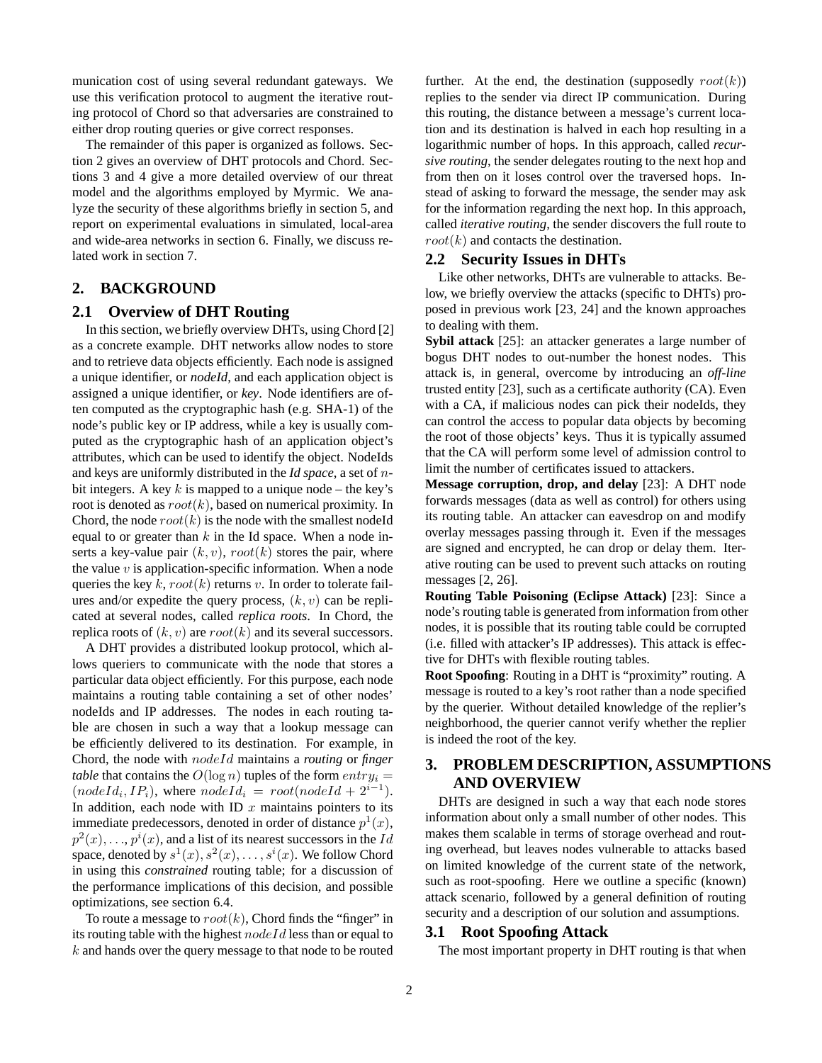munication cost of using several redundant gateways. We use this verification protocol to augment the iterative routing protocol of Chord so that adversaries are constrained to either drop routing queries or give correct responses.

The remainder of this paper is organized as follows. Section 2 gives an overview of DHT protocols and Chord. Sections 3 and 4 give a more detailed overview of our threat model and the algorithms employed by Myrmic. We analyze the security of these algorithms briefly in section 5, and report on experimental evaluations in simulated, local-area and wide-area networks in section 6. Finally, we discuss related work in section 7.

# **2. BACKGROUND**

#### **2.1 Overview of DHT Routing**

In this section, we briefly overview DHTs, using Chord [2] as a concrete example. DHT networks allow nodes to store and to retrieve data objects efficiently. Each node is assigned a unique identifier, or *nodeId*, and each application object is assigned a unique identifier, or *key*. Node identifiers are often computed as the cryptographic hash (e.g. SHA-1) of the node's public key or IP address, while a key is usually computed as the cryptographic hash of an application object's attributes, which can be used to identify the object. NodeIds and keys are uniformly distributed in the *Id space*, a set of nbit integers. A key  $k$  is mapped to a unique node – the key's root is denoted as  $root(k)$ , based on numerical proximity. In Chord, the node  $root(k)$  is the node with the smallest nodeId equal to or greater than  $k$  in the Id space. When a node inserts a key-value pair  $(k, v)$ ,  $root(k)$  stores the pair, where the value  $v$  is application-specific information. When a node queries the key k,  $root(k)$  returns v. In order to tolerate failures and/or expedite the query process,  $(k, v)$  can be replicated at several nodes, called *replica roots*. In Chord, the replica roots of  $(k, v)$  are  $root(k)$  and its several successors.

A DHT provides a distributed lookup protocol, which allows queriers to communicate with the node that stores a particular data object efficiently. For this purpose, each node maintains a routing table containing a set of other nodes' nodeIds and IP addresses. The nodes in each routing table are chosen in such a way that a lookup message can be efficiently delivered to its destination. For example, in Chord, the node with nodeId maintains a *routing* or *finger table* that contains the  $O(\log n)$  tuples of the form  $entry_i =$  $(nodeId_i, IP_i)$ , where  $nodeId_i = root(nodeId + 2^{i-1})$ . In addition, each node with ID  $x$  maintains pointers to its immediate predecessors, denoted in order of distance  $p^1(x)$ ,  $p^2(x), \ldots, p^i(x)$ , and a list of its nearest successors in the  $Id$ space, denoted by  $s^1(x), s^2(x), \ldots, s^i(x)$ . We follow Chord in using this *constrained* routing table; for a discussion of the performance implications of this decision, and possible optimizations, see section 6.4.

To route a message to  $root(k)$ , Chord finds the "finger" in its routing table with the highest  $nodeId$  less than or equal to  $k$  and hands over the query message to that node to be routed further. At the end, the destination (supposedly  $root(k)$ ) replies to the sender via direct IP communication. During this routing, the distance between a message's current location and its destination is halved in each hop resulting in a logarithmic number of hops. In this approach, called *recursive routing*, the sender delegates routing to the next hop and from then on it loses control over the traversed hops. Instead of asking to forward the message, the sender may ask for the information regarding the next hop. In this approach, called *iterative routing*, the sender discovers the full route to  $root(k)$  and contacts the destination.

#### **2.2 Security Issues in DHTs**

Like other networks, DHTs are vulnerable to attacks. Below, we briefly overview the attacks (specific to DHTs) proposed in previous work [23, 24] and the known approaches to dealing with them.

**Sybil attack** [25]: an attacker generates a large number of bogus DHT nodes to out-number the honest nodes. This attack is, in general, overcome by introducing an *off-line* trusted entity [23], such as a certificate authority (CA). Even with a CA, if malicious nodes can pick their nodeIds, they can control the access to popular data objects by becoming the root of those objects' keys. Thus it is typically assumed that the CA will perform some level of admission control to limit the number of certificates issued to attackers.

**Message corruption, drop, and delay** [23]: A DHT node forwards messages (data as well as control) for others using its routing table. An attacker can eavesdrop on and modify overlay messages passing through it. Even if the messages are signed and encrypted, he can drop or delay them. Iterative routing can be used to prevent such attacks on routing messages [2, 26].

**Routing Table Poisoning (Eclipse Attack)** [23]: Since a node's routing table is generated from information from other nodes, it is possible that its routing table could be corrupted (i.e. filled with attacker's IP addresses). This attack is effective for DHTs with flexible routing tables.

**Root Spoofing**: Routing in a DHT is "proximity" routing. A message is routed to a key's root rather than a node specified by the querier. Without detailed knowledge of the replier's neighborhood, the querier cannot verify whether the replier is indeed the root of the key.

# **3. PROBLEM DESCRIPTION, ASSUMPTIONS AND OVERVIEW**

DHTs are designed in such a way that each node stores information about only a small number of other nodes. This makes them scalable in terms of storage overhead and routing overhead, but leaves nodes vulnerable to attacks based on limited knowledge of the current state of the network, such as root-spoofing. Here we outline a specific (known) attack scenario, followed by a general definition of routing security and a description of our solution and assumptions.

#### **3.1 Root Spoofing Attack**

The most important property in DHT routing is that when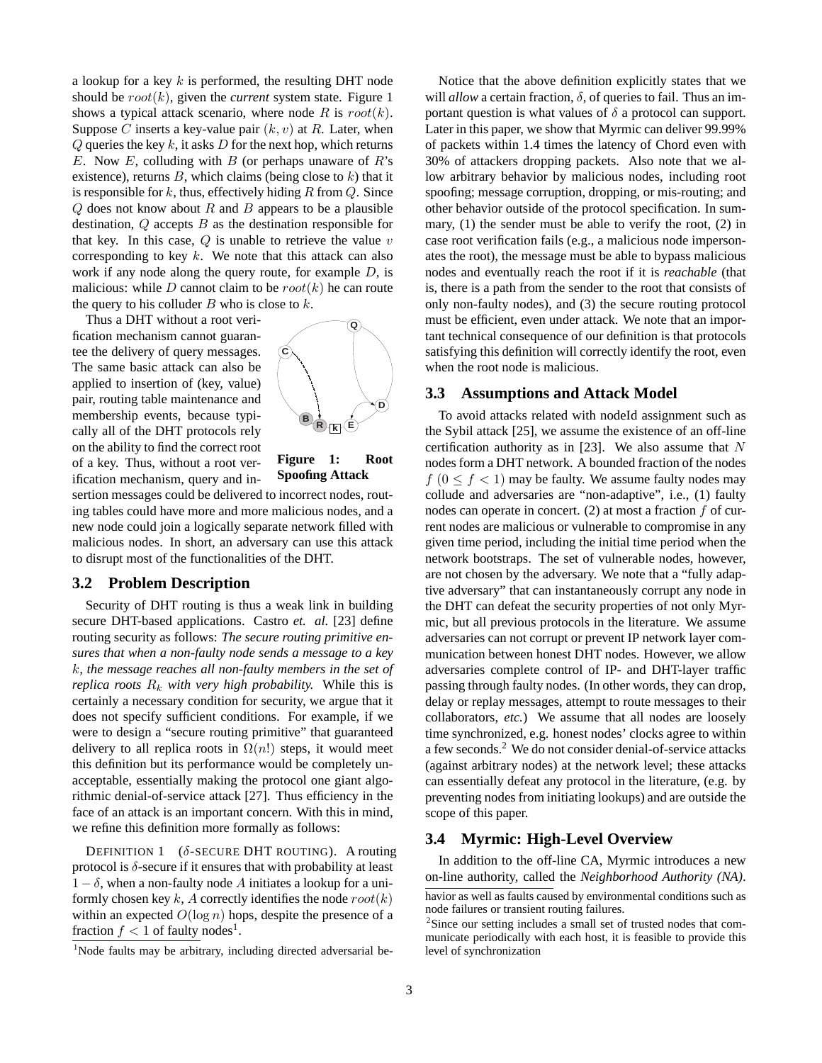a lookup for a key  $k$  is performed, the resulting DHT node should be  $root(k)$ , given the *current* system state. Figure 1 shows a typical attack scenario, where node R is  $root(k)$ . Suppose C inserts a key-value pair  $(k, v)$  at R. Later, when  $Q$  queries the key k, it asks  $D$  for the next hop, which returns E. Now E, colluding with B (or perhaps unaware of  $R$ 's existence), returns  $B$ , which claims (being close to  $k$ ) that it is responsible for  $k$ , thus, effectively hiding  $R$  from  $Q$ . Since  $Q$  does not know about R and B appears to be a plausible destination,  $Q$  accepts  $B$  as the destination responsible for that key. In this case,  $Q$  is unable to retrieve the value  $v$ corresponding to key  $k$ . We note that this attack can also work if any node along the query route, for example D, is malicious: while D cannot claim to be  $root(k)$  he can route the query to his colluder  $B$  who is close to  $k$ .

Thus a DHT without a root verification mechanism cannot guarantee the delivery of query messages. The same basic attack can also be applied to insertion of (key, value) pair, routing table maintenance and membership events, because typically all of the DHT protocols rely on the ability to find the correct root of a key. Thus, without a root verification mechanism, query and in-



**Figure 1: Root Spoofing Attack**

sertion messages could be delivered to incorrect nodes, routing tables could have more and more malicious nodes, and a new node could join a logically separate network filled with malicious nodes. In short, an adversary can use this attack to disrupt most of the functionalities of the DHT.

#### **3.2 Problem Description**

Security of DHT routing is thus a weak link in building secure DHT-based applications. Castro *et. al.* [23] define routing security as follows: *The secure routing primitive ensures that when a non-faulty node sends a message to a key* k*, the message reaches all non-faulty members in the set of replica roots*  $R_k$  *with very high probability.* While this is certainly a necessary condition for security, we argue that it does not specify sufficient conditions. For example, if we were to design a "secure routing primitive" that guaranteed delivery to all replica roots in  $\Omega(n!)$  steps, it would meet this definition but its performance would be completely unacceptable, essentially making the protocol one giant algorithmic denial-of-service attack [27]. Thus efficiency in the face of an attack is an important concern. With this in mind, we refine this definition more formally as follows:

DEFINITION 1  $(\delta$ -SECURE DHT ROUTING). A routing protocol is  $\delta$ -secure if it ensures that with probability at least  $1 - \delta$ , when a non-faulty node A initiates a lookup for a uniformly chosen key k, A correctly identifies the node  $root(k)$ within an expected  $O(\log n)$  hops, despite the presence of a fraction  $f < 1$  of faulty nodes<sup>1</sup>.

<sup>1</sup>Node faults may be arbitrary, including directed adversarial be-

Notice that the above definition explicitly states that we will *allow* a certain fraction,  $\delta$ , of queries to fail. Thus an important question is what values of  $\delta$  a protocol can support. Later in this paper, we show that Myrmic can deliver 99.99% of packets within 1.4 times the latency of Chord even with 30% of attackers dropping packets. Also note that we allow arbitrary behavior by malicious nodes, including root spoofing; message corruption, dropping, or mis-routing; and other behavior outside of the protocol specification. In summary, (1) the sender must be able to verify the root, (2) in case root verification fails (e.g., a malicious node impersonates the root), the message must be able to bypass malicious nodes and eventually reach the root if it is *reachable* (that is, there is a path from the sender to the root that consists of only non-faulty nodes), and (3) the secure routing protocol must be efficient, even under attack. We note that an important technical consequence of our definition is that protocols satisfying this definition will correctly identify the root, even when the root node is malicious.

#### **3.3 Assumptions and Attack Model**

To avoid attacks related with nodeId assignment such as the Sybil attack [25], we assume the existence of an off-line certification authority as in [23]. We also assume that  $N$ nodes form a DHT network. A bounded fraction of the nodes  $f (0 \le f < 1)$  may be faulty. We assume faulty nodes may collude and adversaries are "non-adaptive", i.e., (1) faulty nodes can operate in concert.  $(2)$  at most a fraction f of current nodes are malicious or vulnerable to compromise in any given time period, including the initial time period when the network bootstraps. The set of vulnerable nodes, however, are not chosen by the adversary. We note that a "fully adaptive adversary" that can instantaneously corrupt any node in the DHT can defeat the security properties of not only Myrmic, but all previous protocols in the literature. We assume adversaries can not corrupt or prevent IP network layer communication between honest DHT nodes. However, we allow adversaries complete control of IP- and DHT-layer traffic passing through faulty nodes. (In other words, they can drop, delay or replay messages, attempt to route messages to their collaborators, *etc.*) We assume that all nodes are loosely time synchronized, e.g. honest nodes' clocks agree to within a few seconds.<sup>2</sup> We do not consider denial-of-service attacks (against arbitrary nodes) at the network level; these attacks can essentially defeat any protocol in the literature, (e.g. by preventing nodes from initiating lookups) and are outside the scope of this paper.

#### **3.4 Myrmic: High-Level Overview**

In addition to the off-line CA, Myrmic introduces a new on-line authority, called the *Neighborhood Authority (NA)*.

havior as well as faults caused by environmental conditions such as node failures or transient routing failures.

<sup>&</sup>lt;sup>2</sup>Since our setting includes a small set of trusted nodes that communicate periodically with each host, it is feasible to provide this level of synchronization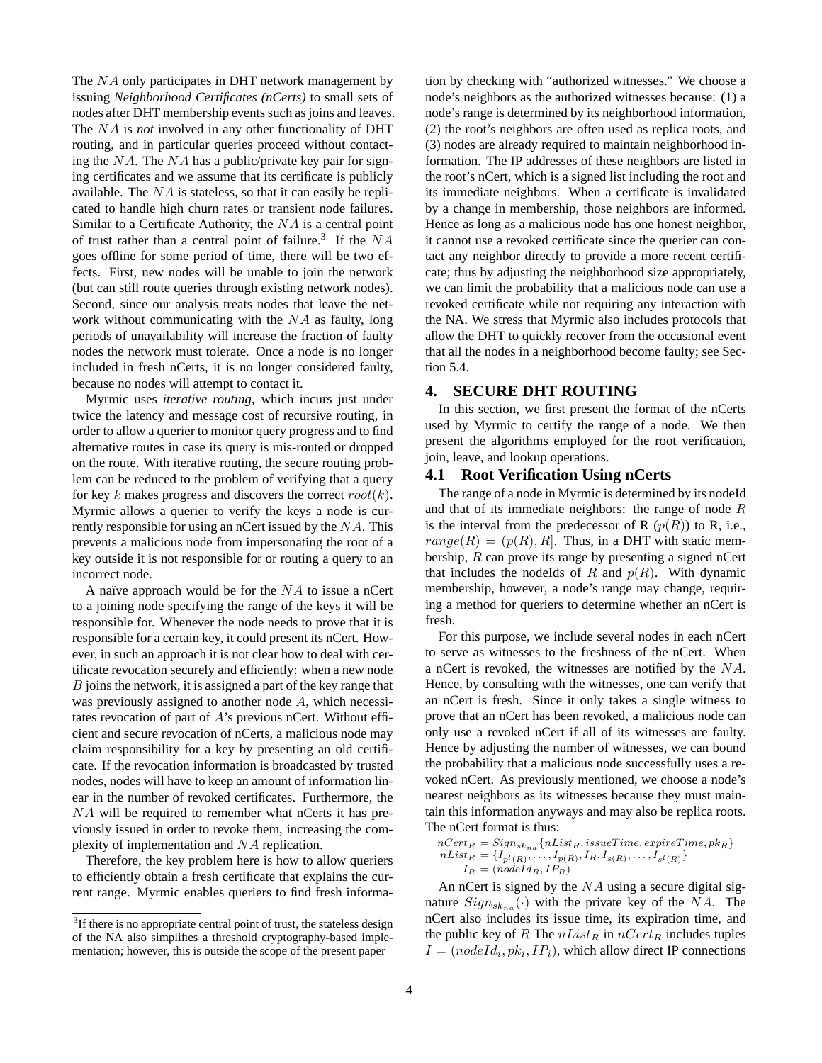The NA only participates in DHT network management by issuing *Neighborhood Certificates (nCerts)* to small sets of nodes after DHT membership events such as joins and leaves. The NA is *not* involved in any other functionality of DHT routing, and in particular queries proceed without contacting the  $NA$ . The  $NA$  has a public/private key pair for signing certificates and we assume that its certificate is publicly available. The  $NA$  is stateless, so that it can easily be replicated to handle high churn rates or transient node failures. Similar to a Certificate Authority, the NA is a central point of trust rather than a central point of failure.<sup>3</sup> If the  $NA$ goes offline for some period of time, there will be two effects. First, new nodes will be unable to join the network (but can still route queries through existing network nodes). Second, since our analysis treats nodes that leave the network without communicating with the NA as faulty, long periods of unavailability will increase the fraction of faulty nodes the network must tolerate. Once a node is no longer included in fresh nCerts, it is no longer considered faulty, because no nodes will attempt to contact it.

Myrmic uses *iterative routing*, which incurs just under twice the latency and message cost of recursive routing, in order to allow a querier to monitor query progress and to find alternative routes in case its query is mis-routed or dropped on the route. With iterative routing, the secure routing problem can be reduced to the problem of verifying that a query for key k makes progress and discovers the correct  $root(k)$ . Myrmic allows a querier to verify the keys a node is currently responsible for using an nCert issued by the  $NA$ . This prevents a malicious node from impersonating the root of a key outside it is not responsible for or routing a query to an incorrect node.

A naïve approach would be for the  $NA$  to issue a nCert to a joining node specifying the range of the keys it will be responsible for. Whenever the node needs to prove that it is responsible for a certain key, it could present its nCert. However, in such an approach it is not clear how to deal with certificate revocation securely and efficiently: when a new node B joins the network, it is assigned a part of the key range that was previously assigned to another node A, which necessitates revocation of part of A's previous nCert. Without efficient and secure revocation of nCerts, a malicious node may claim responsibility for a key by presenting an old certificate. If the revocation information is broadcasted by trusted nodes, nodes will have to keep an amount of information linear in the number of revoked certificates. Furthermore, the NA will be required to remember what nCerts it has previously issued in order to revoke them, increasing the complexity of implementation and NA replication.

Therefore, the key problem here is how to allow queriers to efficiently obtain a fresh certificate that explains the current range. Myrmic enables queriers to find fresh information by checking with "authorized witnesses." We choose a node's neighbors as the authorized witnesses because: (1) a node's range is determined by its neighborhood information, (2) the root's neighbors are often used as replica roots, and (3) nodes are already required to maintain neighborhood information. The IP addresses of these neighbors are listed in the root's nCert, which is a signed list including the root and its immediate neighbors. When a certificate is invalidated by a change in membership, those neighbors are informed. Hence as long as a malicious node has one honest neighbor, it cannot use a revoked certificate since the querier can contact any neighbor directly to provide a more recent certificate; thus by adjusting the neighborhood size appropriately, we can limit the probability that a malicious node can use a revoked certificate while not requiring any interaction with the NA. We stress that Myrmic also includes protocols that allow the DHT to quickly recover from the occasional event that all the nodes in a neighborhood become faulty; see Section 5.4.

## **4. SECURE DHT ROUTING**

In this section, we first present the format of the nCerts used by Myrmic to certify the range of a node. We then present the algorithms employed for the root verification, join, leave, and lookup operations.

#### **4.1 Root Verification Using nCerts**

The range of a node in Myrmic is determined by its nodeId and that of its immediate neighbors: the range of node  $R$ is the interval from the predecessor of R  $(p(R))$  to R, i.e.,  $range(R) = (p(R), R]$ . Thus, in a DHT with static membership, R can prove its range by presenting a signed nCert that includes the nodeIds of R and  $p(R)$ . With dynamic membership, however, a node's range may change, requiring a method for queriers to determine whether an nCert is fresh.

For this purpose, we include several nodes in each nCert to serve as witnesses to the freshness of the nCert. When a nCert is revoked, the witnesses are notified by the NA. Hence, by consulting with the witnesses, one can verify that an nCert is fresh. Since it only takes a single witness to prove that an nCert has been revoked, a malicious node can only use a revoked nCert if all of its witnesses are faulty. Hence by adjusting the number of witnesses, we can bound the probability that a malicious node successfully uses a revoked nCert. As previously mentioned, we choose a node's nearest neighbors as its witnesses because they must maintain this information anyways and may also be replica roots. The nCert format is thus:

$$
nCert_R = Sign_{skn_a} \{nList_R, issueTime, expireTime, pk_R\}
$$
  
\n
$$
nList_R = \{I_{p^l(R)}, \ldots, I_{p(R)}, I_R, I_{s(R)}, \ldots, I_{s^l(R)}\}
$$
  
\n
$$
I_R = (nodeId_R, IP_R)
$$

An nCert is signed by the  $NA$  using a secure digital signature  $Sign_{sk_{na}}(\cdot)$  with the private key of the NA. The nCert also includes its issue time, its expiration time, and the public key of R The  $nList_R$  in  $nCert_R$  includes tuples  $I = (nodeId_i, pk_i, IP_i)$ , which allow direct IP connections

 $3$ If there is no appropriate central point of trust, the stateless design of the NA also simplifies a threshold cryptography-based implementation; however, this is outside the scope of the present paper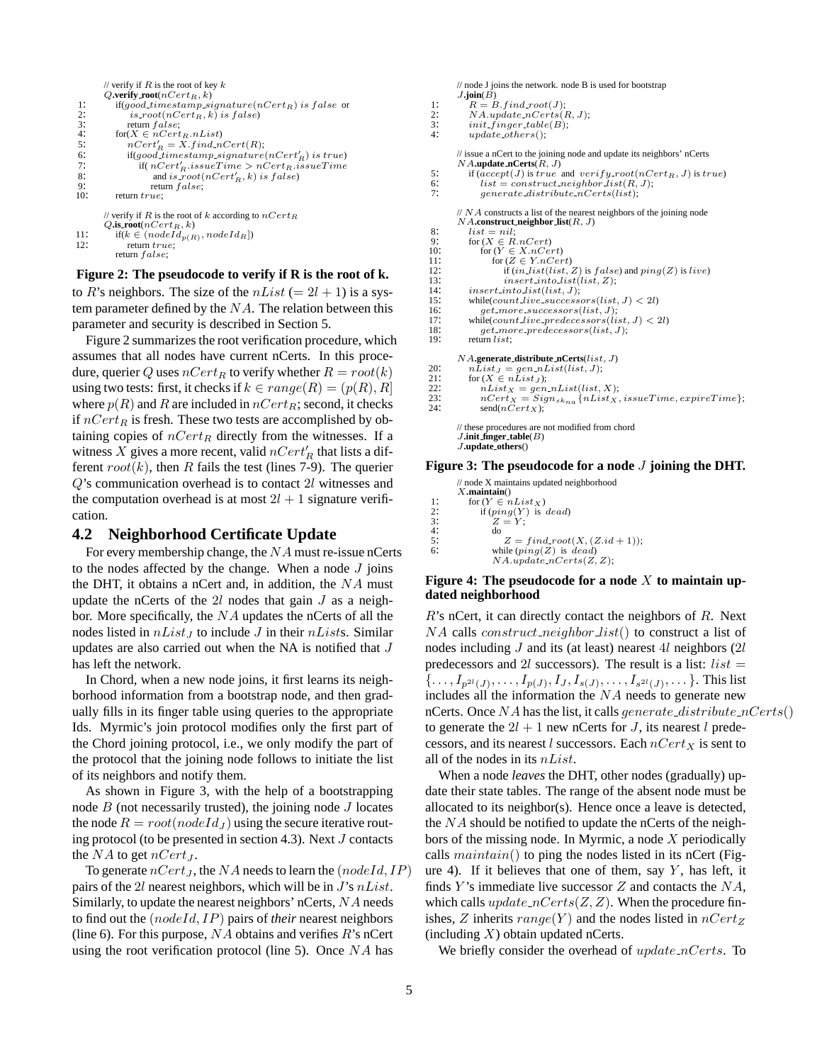```
// verify if R is the root of key kQ.verify_root(nCert_R, k)1: if(good_timestamp_signature(nCert_R) is false or<br>2: is_root(nCert_B, k) is false)
2: is\_root(nCert_R, k) is false)<br>
3: return false;<br>
4: for(X \in nCert_R.nList)return false:
4: \operatorname{for}(X \in nCert_R.nList)<br>5: nCert'_R = X.find_n t5: nCert'_R = X.find.nCert(R);6: if(good_timestamp_signature(nCert'<sub>R</sub>) is true)
 7: if nCert'_R issueTime > nCert_R issueTime
 8: and is\_root(nCert'_R, k) is false)
8: and is\_root(<br>9: return false;<br>10: return true:
           return true:
        // verify if R is the root of k according to nCert_RQ.\mathbf{is} \text{root}(nCert_R, k)<br>11: if(k \in (nodeId_{p(R)}, nodeId_R])11: if(k \in (node I_1))<br>12: return true;
```
return false;

#### **Figure 2: The pseudocode to verify if R is the root of k.**

to R's neighbors. The size of the  $nList (= 2l + 1)$  is a system parameter defined by the  $NA$ . The relation between this parameter and security is described in Section 5.

Figure 2 summarizes the root verification procedure, which assumes that all nodes have current nCerts. In this procedure, querier Q uses  $nCert_R$  to verify whether  $R = root(k)$ using two tests: first, it checks if  $k \in range(R) = (p(R), R]$ where  $p(R)$  and R are included in  $nCert_R$ ; second, it checks if  $nCert_B$  is fresh. These two tests are accomplished by obtaining copies of  $nCert_R$  directly from the witnesses. If a witness X gives a more recent, valid  $nCert'_R$  that lists a different  $root(k)$ , then R fails the test (lines 7-9). The querier Q's communication overhead is to contact 2l witnesses and the computation overhead is at most  $2l + 1$  signature verification.

#### **4.2 Neighborhood Certificate Update**

For every membership change, the NA must re-issue nCerts to the nodes affected by the change. When a node  $J$  joins the DHT, it obtains a nCert and, in addition, the  $NA$  must update the nCerts of the  $2l$  nodes that gain  $J$  as a neighbor. More specifically, the  $NA$  updates the nCerts of all the nodes listed in  $nList_J$  to include J in their  $nLists$ . Similar updates are also carried out when the NA is notified that J has left the network.

In Chord, when a new node joins, it first learns its neighborhood information from a bootstrap node, and then gradually fills in its finger table using queries to the appropriate Ids. Myrmic's join protocol modifies only the first part of the Chord joining protocol, i.e., we only modify the part of the protocol that the joining node follows to initiate the list of its neighbors and notify them.

As shown in Figure 3, with the help of a bootstrapping node  $B$  (not necessarily trusted), the joining node  $J$  locates the node  $R = root(nodeId_J)$  using the secure iterative routing protocol (to be presented in section 4.3). Next J contacts the  $NA$  to get  $nCert_J$ .

To generate  $nCert_J$ , the NA needs to learn the  $(nodeId, IP)$ pairs of the 2l nearest neighbors, which will be in  $J$ 's  $nList$ . Similarly, to update the nearest neighbors' nCerts, NA needs to find out the (nodeId, IP) pairs of *their* nearest neighbors (line 6). For this purpose,  $NA$  obtains and verifies  $R$ 's nCert using the root verification protocol (line 5). Once  $NA$  has

```
// node J joins the network. node B is used for bootstrap
          J.join(\check{B})1: R = B.find-root(J);<br>2: NA.update.nCerts(I)2: NA.update_nCerts(R, J);<br>3: init\_finger_table(B);3: init\_finger\_table(B);<br>4: update\_others();update\_others();// issue a nCert to the joining node and update its neighbors' nCerts
          NA.update nCerts(R, J)
 5: if (\text{accept}(J) \text{ is true} \text{ and } \text{verify-root}(n\text{Cert}_R, J) \text{ is true})<br>6: \text{list} = \text{construct}.\text{neighbor-list}(R, J);6: list = construct\_neighbor\_list(R, J);<br>7: generate distribute nCerts(list);
                  generate\_distribute\_nCerts(list);// NA constructs a list of the nearest neighbors of the joining node
          NA.construct neighbor list(R, J)
 8: list = nil;<br>9: for (X \in R)9: for (X \in R.nCert)<br>
10: for (Y \in X.nCert)<br>
11: for (Z \in Y.nCert)11: \text{for } (Z \in Y.nCert)<br>
12: if (in_list(list, Z) \text{ is } false) and ping(Z) is live)<br>
13: insert_into_list(list, Z);
13: insert\_into\_list(list, Z);<br>14: insert\_into\_list(list, J);14: insert\_into\_list(list, J);<br>15: while(count_live_successe)
15: while(count live_successors(list, J) < 2l)<br>16: aet_more_successors(list, J):
16: get_more\_successors(list, J);<br>17: while(count_live_predecessors(li
17: while(count live predecessors(iist, J) < 2l)<br>18: aet_more_predecessors(iist, J);
18: get\_more\_predecessary(list, J);<br>19: return list;
              return list;
          NA.generate distribute nCerts(list, J)
 20: nList_J = gen.nList(list, J);<br>
21: for (X \in nList_J);21: \text{for } (X \in nList_J);<br>
22: \text{nList}_X = gen.nList(list, X);<br>
23: \text{nCert}_X = Sian_{sk-1} \{nList_X; \}23: nCert_X = Sign_{sk_{na}} {nList_X}, is sueTime, exprirTime};<br>
24: \text{send}(nCert_X);// these procedures are not modified from chord
          J.init finger table(B)
          J.update others()
```
#### **Figure 3: The pseudocode for a node** J **joining the DHT.**

// node X maintains updated neighborhood X**.maintain**() 1: for  $(Y \in nList_X)$ <br>
2: if  $(ping(Y))$  is  $Z = Y$ ; 2: if  $(ping(Y)$  is dead)<br>3:  $Z = Y$ ;  $\frac{4}{5}$  do  $\frac{4}{5}$ 5:  $Z = find\_root(X, (Z.id + 1));$ <br>6: while  $(pina(Z)$  is dead) while  $(ping(Z)$  is dead)  $NA.\overline{update}\n Certs(Z, Z);$ 

#### **Figure 4: The pseudocode for a node** X **to maintain updated neighborhood**

 $R$ 's nCert, it can directly contact the neighbors of  $R$ . Next  $NA$  calls *construct\_neighbor\_list*() to construct a list of nodes including  $J$  and its (at least) nearest  $4l$  neighbors ( $2l$ predecessors and 2l successors). The result is a list:  $list =$  ${..., I_{p^{2l}(J)},..., I_{p(J)}, I_J, I_{s(J)},..., I_{s^{2l}(J)},...}$ . This list includes all the information the NA needs to generate new nCerts. Once NA has the list, it calls *generate\_distribute\_nCerts*() to generate the  $2l + 1$  new nCerts for J, its nearest l predecessors, and its nearest l successors. Each  $nCert_X$  is sent to all of the nodes in its nList.

When a node *leaves* the DHT, other nodes (gradually) update their state tables. The range of the absent node must be allocated to its neighbor(s). Hence once a leave is detected, the NA should be notified to update the nCerts of the neighbors of the missing node. In Myrmic, a node  $X$  periodically calls  $maintain()$  to ping the nodes listed in its nCert (Figure 4). If it believes that one of them, say  $Y$ , has left, it finds Y's immediate live successor  $Z$  and contacts the  $NA$ , which calls  $update\_nCerts(Z, Z)$ . When the procedure finishes, Z inherits  $range(Y)$  and the nodes listed in  $nCert_Z$ (including  $X$ ) obtain updated nCerts.

We briefly consider the overhead of update\_nCerts. To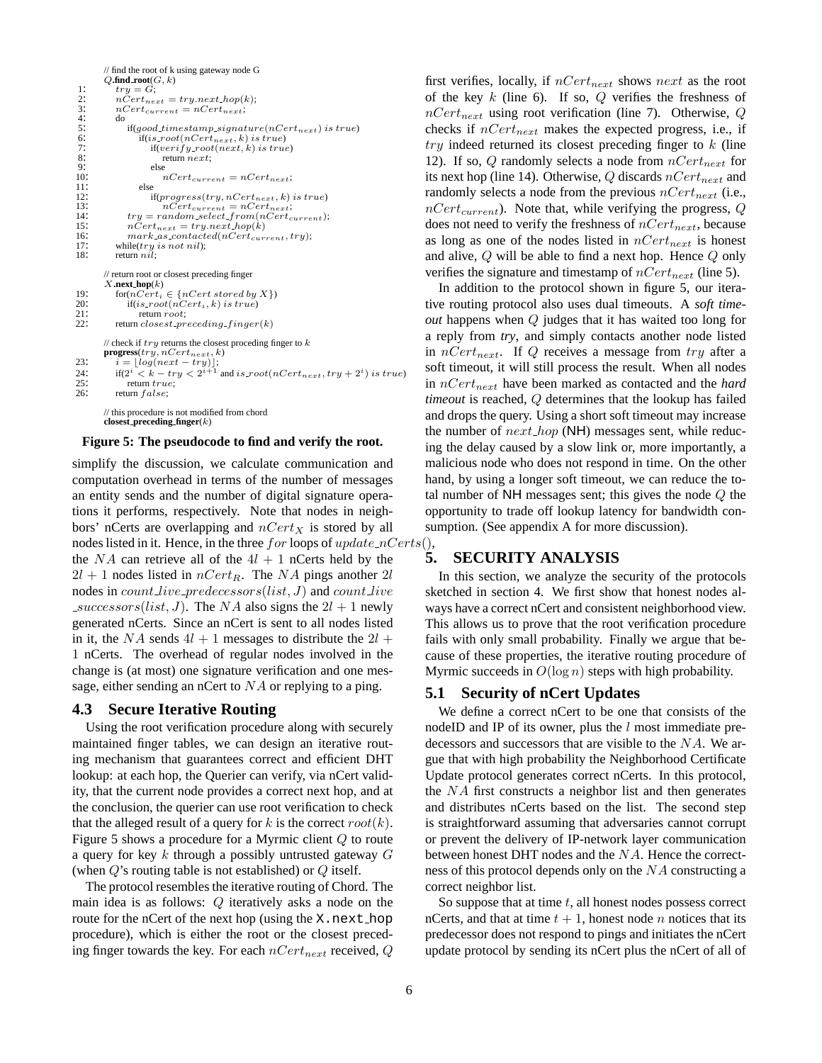```
// find the root of k using gateway node G
         O.find root(G, k)1: try = G;<br>2: nCert_{nes}n\check{C}ert_{next} = try.next\_hop(k);nCert_{current} = nCert_{next};\frac{3!}{4!}<br>5:
5: if(good.time stamp-signature(nCert_{next}) is true)<br>
6: if(is(root(nCert_{next}, k) is true)<br>
7: if(verify-root(next, k) is true)<br>
8: return next;<br>
9: else
                     {\rm if}(is\_root(nCer t_{next},k) \ is \ true)if(verify\_root(next, k) \text{ is true})return next;9: else
10: nCert_{current} = nCert_{next};<br>11: else
11: else<br>
12: i<br>
13:
                         \mathrm{if}(progress (try, nCert_{next}, k) \; is \; true)13: nCert_{current} = nCert_{next};<br>
14: try = random select\_from(nCert_{current});14: try = random\_select\_from(n<br>
15: nCert_{next} = try.next\_hop(k)<br>
16: mnrk\_as\_contact\_in(Cert_{curr})<br>
17: while(try is not nil);
                 mark<sub>-as-contacted</sub>(nCert_{current}, try);
17: while(try \text{ is not nil};<br>18: return nil:
             return nil:
         // return root or closest preceding finger
         X.next hop(k)
19: for(nCert_i \in \{nCert\ stored\ by\ X\})<br>20: if(is\_root(nCert_i, k)) is true)
20: \text{if}(is\_root(nCert_i, k) \text{ is true})<br>
\text{return root:}21: return root;<br>22: return closest pro
             return closest\_preceding\_finger(k)// check if try returns the closest proceding finger to k\mathbf{progress}(try, nCert_{next}, k)23: i = \lfloor log(next - try) \rfloor;24: if (2^i < k - try < 2^{i+1} and is\_root(nCert_{next}, try + 2^i) is true)
25: r = 26: r = 26: r = 26:
             return false;// this procedure is not modified from chord
         closest preceding finger(k)
```
#### **Figure 5: The pseudocode to find and verify the root.**

simplify the discussion, we calculate communication and computation overhead in terms of the number of messages an entity sends and the number of digital signature operations it performs, respectively. Note that nodes in neighbors' nCerts are overlapping and  $nCert_X$  is stored by all nodes listed in it. Hence, in the three for loops of update  $nCerts()$ , the NA can retrieve all of the  $4l + 1$  nCerts held by the 5. the NA can retrieve all of the  $4l + 1$  nCerts held by the  $2l + 1$  nodes listed in  $nCert_R$ . The NA pings another  $2l$ nodes in  $count\_live\_predecessary(list, J)$  and  $count\_live$  $successors(list, J)$ . The NA also signs the  $2l + 1$  newly generated nCerts. Since an nCert is sent to all nodes listed in it, the NA sends  $4l + 1$  messages to distribute the  $2l +$ 1 nCerts. The overhead of regular nodes involved in the change is (at most) one signature verification and one message, either sending an nCert to NA or replying to a ping.

#### **4.3 Secure Iterative Routing**

Using the root verification procedure along with securely maintained finger tables, we can design an iterative routing mechanism that guarantees correct and efficient DHT lookup: at each hop, the Querier can verify, via nCert validity, that the current node provides a correct next hop, and at the conclusion, the querier can use root verification to check that the alleged result of a query for k is the correct  $root(k)$ . Figure 5 shows a procedure for a Myrmic client Q to route a query for key  $k$  through a possibly untrusted gateway  $G$ (when  $Q$ 's routing table is not established) or  $Q$  itself.

The protocol resembles the iterative routing of Chord. The main idea is as follows: Q iteratively asks a node on the route for the nCert of the next hop (using the X.next hop procedure), which is either the root or the closest preceding finger towards the key. For each  $nCert_{next}$  received,  $Q$  first verifies, locally, if  $nCert_{next}$  shows next as the root of the key  $k$  (line 6). If so,  $Q$  verifies the freshness of  $nCert_{next}$  using root verification (line 7). Otherwise, Q checks if  $nCert_{next}$  makes the expected progress, i.e., if  $try$  indeed returned its closest preceding finger to  $k$  (line 12). If so, Q randomly selects a node from  $nCert_{next}$  for its next hop (line 14). Otherwise,  $Q$  discards  $nCert_{next}$  and randomly selects a node from the previous  $nCert_{next}$  (i.e.,  $nCert_{current}$ ). Note that, while verifying the progress, Q does not need to verify the freshness of  $nCert_{next}$ , because as long as one of the nodes listed in  $nCert_{next}$  is honest and alive, Q will be able to find a next hop. Hence Q only verifies the signature and timestamp of  $nCert_{next}$  (line 5).

In addition to the protocol shown in figure 5, our iterative routing protocol also uses dual timeouts. A *soft timeout* happens when Q judges that it has waited too long for a reply from *try*, and simply contacts another node listed in  $nCert_{next}$ . If Q receives a message from try after a soft timeout, it will still process the result. When all nodes in  $nCert_{next}$  have been marked as contacted and the *hard timeout* is reached, Q determines that the lookup has failed and drops the query. Using a short soft timeout may increase the number of  $next\_hop$  (NH) messages sent, while reducing the delay caused by a slow link or, more importantly, a malicious node who does not respond in time. On the other hand, by using a longer soft timeout, we can reduce the total number of  $NH$  messages sent; this gives the node  $Q$  the opportunity to trade off lookup latency for bandwidth consumption. (See appendix A for more discussion).

#### **5. SECURITY ANALYSIS**

In this section, we analyze the security of the protocols sketched in section 4. We first show that honest nodes always have a correct nCert and consistent neighborhood view. This allows us to prove that the root verification procedure fails with only small probability. Finally we argue that because of these properties, the iterative routing procedure of Myrmic succeeds in  $O(\log n)$  steps with high probability.

#### **5.1 Security of nCert Updates**

We define a correct nCert to be one that consists of the nodeID and IP of its owner, plus the  $l$  most immediate predecessors and successors that are visible to the NA. We argue that with high probability the Neighborhood Certificate Update protocol generates correct nCerts. In this protocol, the NA first constructs a neighbor list and then generates and distributes nCerts based on the list. The second step is straightforward assuming that adversaries cannot corrupt or prevent the delivery of IP-network layer communication between honest DHT nodes and the NA. Hence the correctness of this protocol depends only on the NA constructing a correct neighbor list.

So suppose that at time  $t$ , all honest nodes possess correct nCerts, and that at time  $t + 1$ , honest node *n* notices that its predecessor does not respond to pings and initiates the nCert update protocol by sending its nCert plus the nCert of all of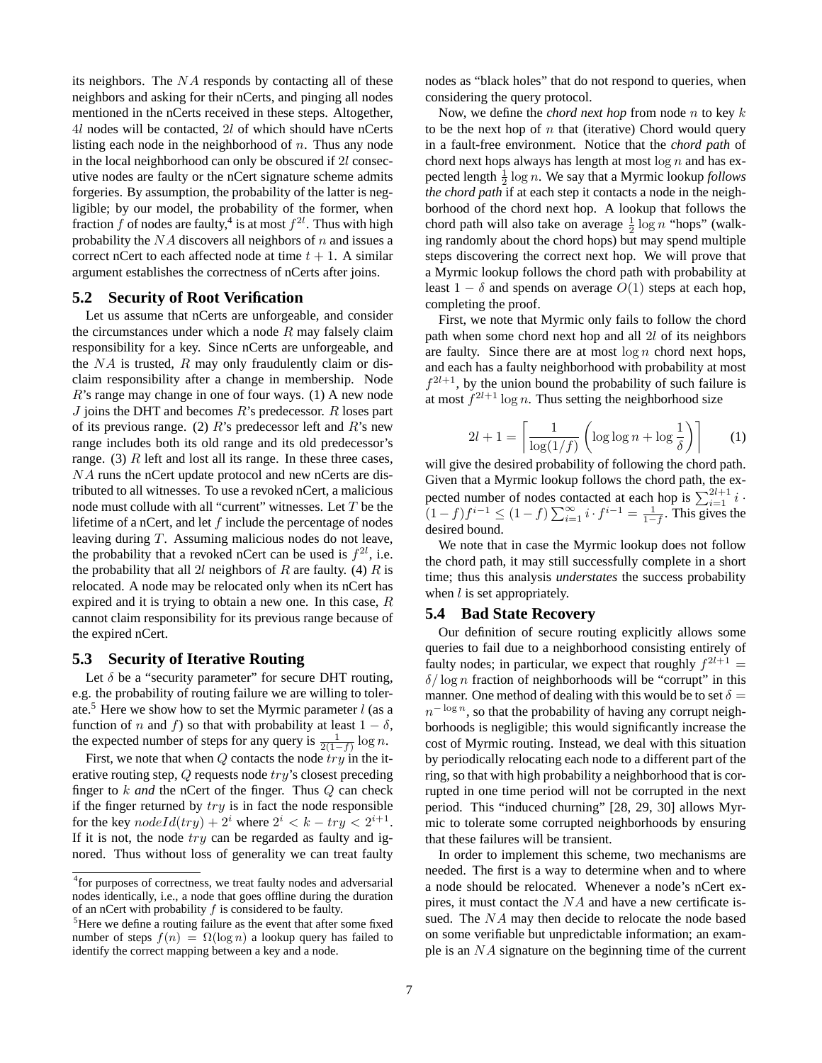its neighbors. The  $NA$  responds by contacting all of these neighbors and asking for their nCerts, and pinging all nodes mentioned in the nCerts received in these steps. Altogether, 4l nodes will be contacted, 2l of which should have nCerts listing each node in the neighborhood of  $n$ . Thus any node in the local neighborhood can only be obscured if 2l consecutive nodes are faulty or the nCert signature scheme admits forgeries. By assumption, the probability of the latter is negligible; by our model, the probability of the former, when fraction f of nodes are faulty,<sup>4</sup> is at most  $f^{2l}$ . Thus with high probability the  $NA$  discovers all neighbors of n and issues a correct nCert to each affected node at time  $t + 1$ . A similar argument establishes the correctness of nCerts after joins.

#### **5.2 Security of Root Verification**

Let us assume that nCerts are unforgeable, and consider the circumstances under which a node  $R$  may falsely claim responsibility for a key. Since nCerts are unforgeable, and the  $NA$  is trusted, R may only fraudulently claim or disclaim responsibility after a change in membership. Node R's range may change in one of four ways. (1) A new node  $J$  joins the DHT and becomes  $R$ 's predecessor.  $R$  loses part of its previous range. (2)  $R$ 's predecessor left and  $R$ 's new range includes both its old range and its old predecessor's range. (3)  $R$  left and lost all its range. In these three cases, NA runs the nCert update protocol and new nCerts are distributed to all witnesses. To use a revoked nCert, a malicious node must collude with all "current" witnesses. Let T be the lifetime of a nCert, and let  $f$  include the percentage of nodes leaving during T. Assuming malicious nodes do not leave, the probability that a revoked nCert can be used is  $f^{2l}$ , i.e. the probability that all 2l neighbors of R are faulty. (4) R is relocated. A node may be relocated only when its nCert has expired and it is trying to obtain a new one. In this case, R cannot claim responsibility for its previous range because of the expired nCert.

#### **5.3 Security of Iterative Routing**

Let  $\delta$  be a "security parameter" for secure DHT routing, e.g. the probability of routing failure we are willing to tolerate.<sup>5</sup> Here we show how to set the Myrmic parameter  $l$  (as a function of n and f) so that with probability at least  $1 - \delta$ , the expected number of steps for any query is  $\frac{1}{2(1-f)} \log n$ .

First, we note that when  $Q$  contacts the node  $try$  in the iterative routing step, Q requests node try's closest preceding finger to k *and* the nCert of the finger. Thus Q can check if the finger returned by  $try$  is in fact the node responsible for the key  $nodeId(try) + 2^i$  where  $2^i < k - try < 2^{i+1}$ . If it is not, the node  $try$  can be regarded as faulty and ignored. Thus without loss of generality we can treat faulty

nodes as "black holes" that do not respond to queries, when considering the query protocol.

Now, we define the *chord next hop* from node n to key k to be the next hop of  $n$  that (iterative) Chord would query in a fault-free environment. Notice that the *chord path* of chord next hops always has length at most  $\log n$  and has expected length  $\frac{1}{2} \log n$ . We say that a Myrmic lookup *follows the chord path* if at each step it contacts a node in the neighborhood of the chord next hop. A lookup that follows the chord path will also take on average  $\frac{1}{2} \log n$  "hops" (walking randomly about the chord hops) but may spend multiple steps discovering the correct next hop. We will prove that a Myrmic lookup follows the chord path with probability at least  $1 - \delta$  and spends on average  $O(1)$  steps at each hop, completing the proof.

First, we note that Myrmic only fails to follow the chord path when some chord next hop and all 2l of its neighbors are faulty. Since there are at most  $\log n$  chord next hops, and each has a faulty neighborhood with probability at most  $f^{2l+1}$ , by the union bound the probability of such failure is at most  $f^{2l+1} \log n$ . Thus setting the neighborhood size

$$
2l + 1 = \left\lceil \frac{1}{\log(1/f)} \left( \log \log n + \log \frac{1}{\delta} \right) \right\rceil \tag{1}
$$

will give the desired probability of following the chord path. Given that a Myrmic lookup follows the chord path, the expected number of nodes contacted at each hop is  $\sum_{i=1}^{2l+1} i$ .  $(1-f)f^{i-1} \le (1-f)\sum_{i=1}^{\infty} i \cdot f^{i-1} = \frac{1}{1-f}$ . This gives the desired bound.

We note that in case the Myrmic lookup does not follow the chord path, it may still successfully complete in a short time; thus this analysis *understates* the success probability when  $l$  is set appropriately.

#### **5.4 Bad State Recovery**

Our definition of secure routing explicitly allows some queries to fail due to a neighborhood consisting entirely of faulty nodes; in particular, we expect that roughly  $f^{2l+1}$  =  $\delta/\log n$  fraction of neighborhoods will be "corrupt" in this manner. One method of dealing with this would be to set  $\delta =$  $n^{-\log n}$ , so that the probability of having any corrupt neighborhoods is negligible; this would significantly increase the cost of Myrmic routing. Instead, we deal with this situation by periodically relocating each node to a different part of the ring, so that with high probability a neighborhood that is corrupted in one time period will not be corrupted in the next period. This "induced churning" [28, 29, 30] allows Myrmic to tolerate some corrupted neighborhoods by ensuring that these failures will be transient.

In order to implement this scheme, two mechanisms are needed. The first is a way to determine when and to where a node should be relocated. Whenever a node's nCert expires, it must contact the NA and have a new certificate issued. The NA may then decide to relocate the node based on some verifiable but unpredictable information; an example is an NA signature on the beginning time of the current

<sup>&</sup>lt;sup>4</sup> for purposes of correctness, we treat faulty nodes and adversarial nodes identically, i.e., a node that goes offline during the duration of an nCert with probability  $f$  is considered to be faulty.

<sup>&</sup>lt;sup>5</sup>Here we define a routing failure as the event that after some fixed number of steps  $f(n) = \Omega(\log n)$  a lookup query has failed to identify the correct mapping between a key and a node.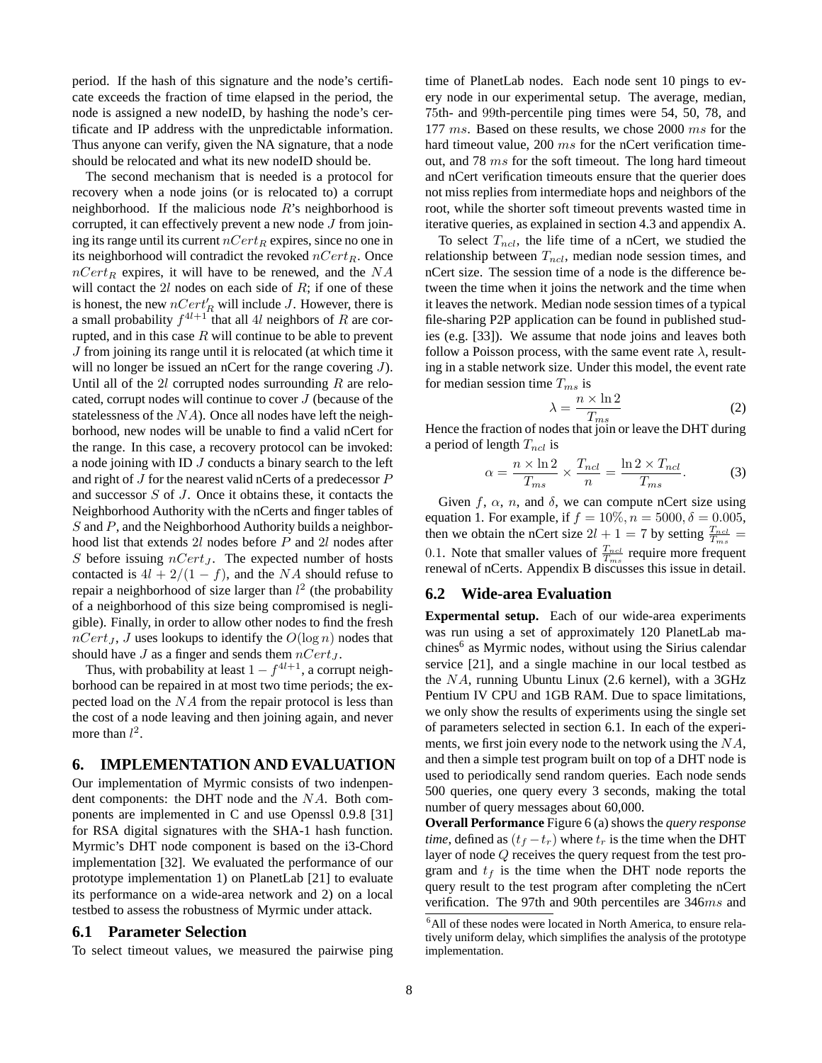period. If the hash of this signature and the node's certificate exceeds the fraction of time elapsed in the period, the node is assigned a new nodeID, by hashing the node's certificate and IP address with the unpredictable information. Thus anyone can verify, given the NA signature, that a node should be relocated and what its new nodeID should be.

The second mechanism that is needed is a protocol for recovery when a node joins (or is relocated to) a corrupt neighborhood. If the malicious node  $R$ 's neighborhood is corrupted, it can effectively prevent a new node  $J$  from joining its range until its current  $nCert_R$  expires, since no one in its neighborhood will contradict the revoked  $nCert_R$ . Once  $nCert_R$  expires, it will have to be renewed, and the NA will contact the  $2l$  nodes on each side of  $R$ ; if one of these is honest, the new  $nCert'_R$  will include J. However, there is a small probability  $f^{4l+1}$  that all 4l neighbors of R are corrupted, and in this case  $R$  will continue to be able to prevent J from joining its range until it is relocated (at which time it will no longer be issued an nCert for the range covering J). Until all of the  $2l$  corrupted nodes surrounding  $R$  are relocated, corrupt nodes will continue to cover J (because of the statelessness of the  $NA$ ). Once all nodes have left the neighborhood, new nodes will be unable to find a valid nCert for the range. In this case, a recovery protocol can be invoked: a node joining with ID  $J$  conducts a binary search to the left and right of  $J$  for the nearest valid nCerts of a predecessor  $P$ and successor S of J. Once it obtains these, it contacts the Neighborhood Authority with the nCerts and finger tables of S and P, and the Neighborhood Authority builds a neighborhood list that extends 2l nodes before P and 2l nodes after S before issuing  $nCert_J$ . The expected number of hosts contacted is  $4l + 2/(1 - f)$ , and the NA should refuse to repair a neighborhood of size larger than  $l^2$  (the probability of a neighborhood of this size being compromised is negligible). Finally, in order to allow other nodes to find the fresh  $nCert_J$ , J uses lookups to identify the  $O(\log n)$  nodes that should have  $J$  as a finger and sends them  $nCert_J$ .

Thus, with probability at least  $1 - f^{4l+1}$ , a corrupt neighborhood can be repaired in at most two time periods; the expected load on the NA from the repair protocol is less than the cost of a node leaving and then joining again, and never more than  $l^2$ .

## **6. IMPLEMENTATION AND EVALUATION**

Our implementation of Myrmic consists of two indenpendent components: the DHT node and the NA. Both components are implemented in C and use Openssl 0.9.8 [31] for RSA digital signatures with the SHA-1 hash function. Myrmic's DHT node component is based on the i3-Chord implementation [32]. We evaluated the performance of our prototype implementation 1) on PlanetLab [21] to evaluate its performance on a wide-area network and 2) on a local testbed to assess the robustness of Myrmic under attack.

## **6.1 Parameter Selection**

To select timeout values, we measured the pairwise ping

time of PlanetLab nodes. Each node sent 10 pings to every node in our experimental setup. The average, median, 75th- and 99th-percentile ping times were 54, 50, 78, and 177 ms. Based on these results, we chose 2000 ms for the hard timeout value, 200 ms for the nCert verification timeout, and 78 ms for the soft timeout. The long hard timeout and nCert verification timeouts ensure that the querier does not miss replies from intermediate hops and neighbors of the root, while the shorter soft timeout prevents wasted time in iterative queries, as explained in section 4.3 and appendix A.

To select  $T_{ncl}$ , the life time of a nCert, we studied the relationship between  $T_{ncl}$ , median node session times, and nCert size. The session time of a node is the difference between the time when it joins the network and the time when it leaves the network. Median node session times of a typical file-sharing P2P application can be found in published studies (e.g. [33]). We assume that node joins and leaves both follow a Poisson process, with the same event rate  $\lambda$ , resulting in a stable network size. Under this model, the event rate for median session time  $T_{ms}$  is

$$
\lambda = \frac{n \times \ln 2}{T_{ms}} \tag{2}
$$

Hence the fraction of nodes that join or leave the DHT during a period of length  $T_{ncl}$  is

$$
\alpha = \frac{n \times \ln 2}{T_{ms}} \times \frac{T_{ncl}}{n} = \frac{\ln 2 \times T_{ncl}}{T_{ms}}.
$$
 (3)

Given f,  $\alpha$ , n, and  $\delta$ , we can compute nCert size using equation 1. For example, if  $f = 10\%, n = 5000, \delta = 0.005$ , then we obtain the nCert size  $2l + 1 = 7$  by setting  $\frac{T_{ncl}}{T_{ms}} =$ 0.1. Note that smaller values of  $\frac{T_{ncl}}{T_{ms}}$  require more frequent renewal of nCerts. Appendix B discusses this issue in detail.

#### **6.2 Wide-area Evaluation**

**Expermental setup.** Each of our wide-area experiments was run using a set of approximately 120 PlanetLab machines<sup>6</sup> as Myrmic nodes, without using the Sirius calendar service [21], and a single machine in our local testbed as the NA, running Ubuntu Linux (2.6 kernel), with a 3GHz Pentium IV CPU and 1GB RAM. Due to space limitations, we only show the results of experiments using the single set of parameters selected in section 6.1. In each of the experiments, we first join every node to the network using the NA, and then a simple test program built on top of a DHT node is used to periodically send random queries. Each node sends 500 queries, one query every 3 seconds, making the total number of query messages about 60,000.

**Overall Performance** Figure 6 (a) shows the *query response time*, defined as  $(t_f - t_r)$  where  $t_r$  is the time when the DHT layer of node Q receives the query request from the test program and  $t_f$  is the time when the DHT node reports the query result to the test program after completing the nCert verification. The 97th and 90th percentiles are 346ms and

<sup>&</sup>lt;sup>6</sup>All of these nodes were located in North America, to ensure relatively uniform delay, which simplifies the analysis of the prototype implementation.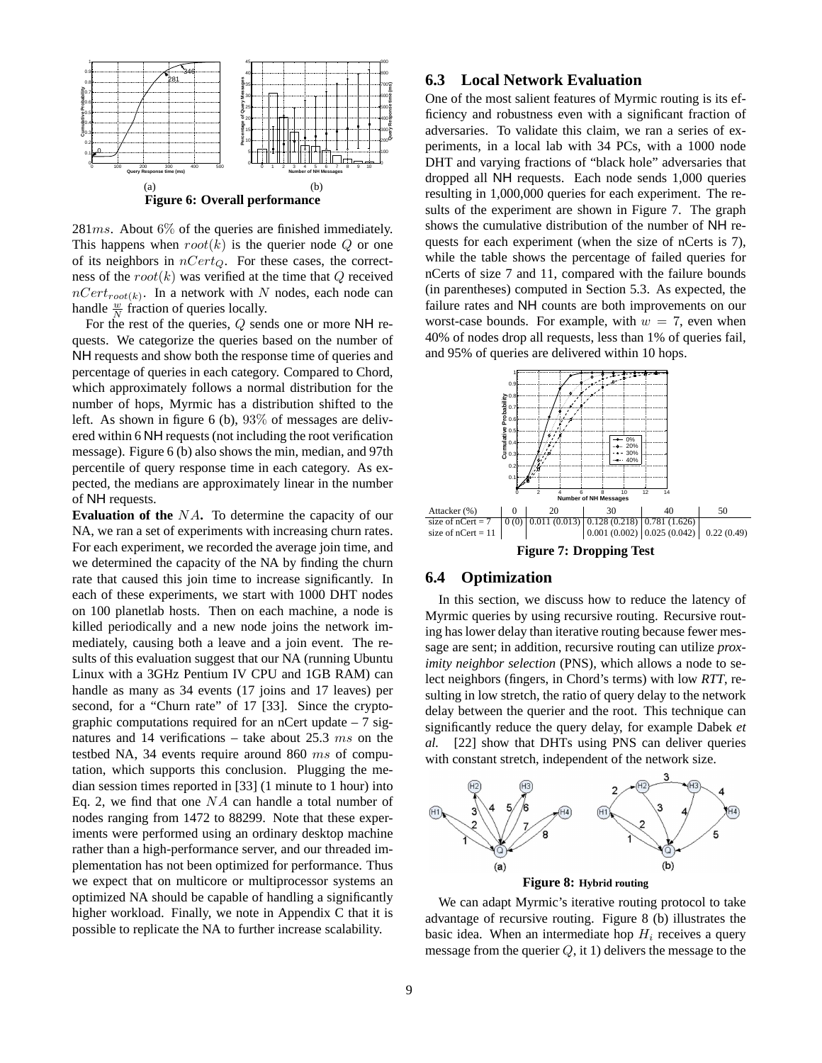

 $281ms$ . About 6% of the queries are finished immediately. This happens when  $root(k)$  is the querier node Q or one of its neighbors in  $nCert_O$ . For these cases, the correctness of the  $root(k)$  was verified at the time that  $Q$  received  $nCert_{root(k)}$ . In a network with N nodes, each node can handle  $\frac{w}{N}$  fraction of queries locally.

For the rest of the queries, Q sends one or more NH requests. We categorize the queries based on the number of NH requests and show both the response time of queries and percentage of queries in each category. Compared to Chord, which approximately follows a normal distribution for the number of hops, Myrmic has a distribution shifted to the left. As shown in figure 6 (b), 93% of messages are delivered within 6 NH requests (not including the root verification message). Figure 6 (b) also shows the min, median, and 97th percentile of query response time in each category. As expected, the medians are approximately linear in the number of NH requests.

**Evaluation of the** NA. To determine the capacity of our NA, we ran a set of experiments with increasing churn rates. For each experiment, we recorded the average join time, and we determined the capacity of the NA by finding the churn rate that caused this join time to increase significantly. In each of these experiments, we start with 1000 DHT nodes on 100 planetlab hosts. Then on each machine, a node is killed periodically and a new node joins the network immediately, causing both a leave and a join event. The results of this evaluation suggest that our NA (running Ubuntu Linux with a 3GHz Pentium IV CPU and 1GB RAM) can handle as many as 34 events (17 joins and 17 leaves) per second, for a "Churn rate" of 17 [33]. Since the cryptographic computations required for an nCert update  $-7$  signatures and 14 verifications – take about 25.3  $ms$  on the testbed NA, 34 events require around 860 ms of computation, which supports this conclusion. Plugging the median session times reported in [33] (1 minute to 1 hour) into Eq. 2, we find that one  $NA$  can handle a total number of nodes ranging from 1472 to 88299. Note that these experiments were performed using an ordinary desktop machine rather than a high-performance server, and our threaded implementation has not been optimized for performance. Thus we expect that on multicore or multiprocessor systems an optimized NA should be capable of handling a significantly higher workload. Finally, we note in Appendix C that it is possible to replicate the NA to further increase scalability.

# **6.3 Local Network Evaluation**

One of the most salient features of Myrmic routing is its efficiency and robustness even with a significant fraction of adversaries. To validate this claim, we ran a series of experiments, in a local lab with 34 PCs, with a 1000 node DHT and varying fractions of "black hole" adversaries that dropped all NH requests. Each node sends 1,000 queries resulting in 1,000,000 queries for each experiment. The results of the experiment are shown in Figure 7. The graph shows the cumulative distribution of the number of NH requests for each experiment (when the size of nCerts is 7), while the table shows the percentage of failed queries for nCerts of size 7 and 11, compared with the failure bounds (in parentheses) computed in Section 5.3. As expected, the failure rates and NH counts are both improvements on our worst-case bounds. For example, with  $w = 7$ , even when 40% of nodes drop all requests, less than 1% of queries fail, and 95% of queries are delivered within 10 hops.



**Figure 7: Dropping Test**

#### **6.4 Optimization**

In this section, we discuss how to reduce the latency of Myrmic queries by using recursive routing. Recursive routing has lower delay than iterative routing because fewer message are sent; in addition, recursive routing can utilize *proximity neighbor selection* (PNS), which allows a node to select neighbors (fingers, in Chord's terms) with low *RTT*, resulting in low stretch, the ratio of query delay to the network delay between the querier and the root. This technique can significantly reduce the query delay, for example Dabek *et al.* [22] show that DHTs using PNS can deliver queries with constant stretch, independent of the network size.



We can adapt Myrmic's iterative routing protocol to take advantage of recursive routing. Figure 8 (b) illustrates the basic idea. When an intermediate hop  $H_i$  receives a query message from the querier  $Q$ , it 1) delivers the message to the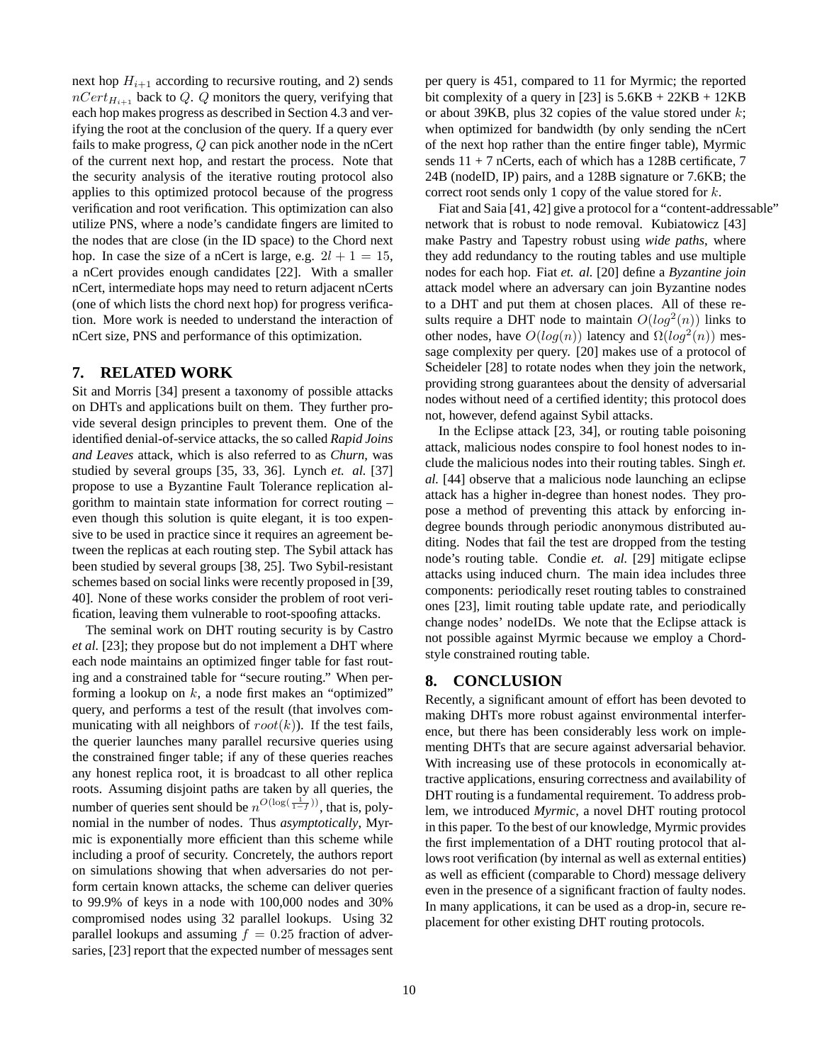next hop  $H_{i+1}$  according to recursive routing, and 2) sends  $nCert_{H_{i+1}}$  back to Q. Q monitors the query, verifying that each hop makes progress as described in Section 4.3 and verifying the root at the conclusion of the query. If a query ever fails to make progress, Q can pick another node in the nCert of the current next hop, and restart the process. Note that the security analysis of the iterative routing protocol also applies to this optimized protocol because of the progress verification and root verification. This optimization can also utilize PNS, where a node's candidate fingers are limited to the nodes that are close (in the ID space) to the Chord next hop. In case the size of a nCert is large, e.g.  $2l + 1 = 15$ , a nCert provides enough candidates [22]. With a smaller nCert, intermediate hops may need to return adjacent nCerts (one of which lists the chord next hop) for progress verification. More work is needed to understand the interaction of nCert size, PNS and performance of this optimization.

### **7. RELATED WORK**

Sit and Morris [34] present a taxonomy of possible attacks on DHTs and applications built on them. They further provide several design principles to prevent them. One of the identified denial-of-service attacks, the so called *Rapid Joins and Leaves* attack, which is also referred to as *Churn*, was studied by several groups [35, 33, 36]. Lynch *et. al.* [37] propose to use a Byzantine Fault Tolerance replication algorithm to maintain state information for correct routing – even though this solution is quite elegant, it is too expensive to be used in practice since it requires an agreement between the replicas at each routing step. The Sybil attack has been studied by several groups [38, 25]. Two Sybil-resistant schemes based on social links were recently proposed in [39, 40]. None of these works consider the problem of root verification, leaving them vulnerable to root-spoofing attacks.

The seminal work on DHT routing security is by Castro *et al.* [23]; they propose but do not implement a DHT where each node maintains an optimized finger table for fast routing and a constrained table for "secure routing." When performing a lookup on  $k$ , a node first makes an "optimized" query, and performs a test of the result (that involves communicating with all neighbors of  $root(k)$ ). If the test fails, the querier launches many parallel recursive queries using the constrained finger table; if any of these queries reaches any honest replica root, it is broadcast to all other replica roots. Assuming disjoint paths are taken by all queries, the number of queries sent should be  $n^{O(\log(\frac{1}{1-f}))}$ , that is, polynomial in the number of nodes. Thus *asymptotically*, Myrmic is exponentially more efficient than this scheme while including a proof of security. Concretely, the authors report on simulations showing that when adversaries do not perform certain known attacks, the scheme can deliver queries to 99.9% of keys in a node with 100,000 nodes and 30% compromised nodes using 32 parallel lookups. Using 32 parallel lookups and assuming  $f = 0.25$  fraction of adversaries, [23] report that the expected number of messages sent

per query is 451, compared to 11 for Myrmic; the reported bit complexity of a query in [23] is  $5.6KB + 22KB + 12KB$ or about 39KB, plus 32 copies of the value stored under  $k$ ; when optimized for bandwidth (by only sending the nCert of the next hop rather than the entire finger table), Myrmic sends  $11 + 7$  nCerts, each of which has a 128B certificate, 7 24B (nodeID, IP) pairs, and a 128B signature or 7.6KB; the correct root sends only 1 copy of the value stored for k.

Fiat and Saia [41, 42] give a protocol for a "content-addressable" network that is robust to node removal. Kubiatowicz [43] make Pastry and Tapestry robust using *wide paths*, where they add redundancy to the routing tables and use multiple nodes for each hop. Fiat *et. al.* [20] define a *Byzantine join* attack model where an adversary can join Byzantine nodes to a DHT and put them at chosen places. All of these results require a DHT node to maintain  $O(log^2(n))$  links to other nodes, have  $O(log(n))$  latency and  $\Omega(log^2(n))$  message complexity per query. [20] makes use of a protocol of Scheideler [28] to rotate nodes when they join the network, providing strong guarantees about the density of adversarial nodes without need of a certified identity; this protocol does not, however, defend against Sybil attacks.

In the Eclipse attack [23, 34], or routing table poisoning attack, malicious nodes conspire to fool honest nodes to include the malicious nodes into their routing tables. Singh *et. al.* [44] observe that a malicious node launching an eclipse attack has a higher in-degree than honest nodes. They propose a method of preventing this attack by enforcing indegree bounds through periodic anonymous distributed auditing. Nodes that fail the test are dropped from the testing node's routing table. Condie *et. al.* [29] mitigate eclipse attacks using induced churn. The main idea includes three components: periodically reset routing tables to constrained ones [23], limit routing table update rate, and periodically change nodes' nodeIDs. We note that the Eclipse attack is not possible against Myrmic because we employ a Chordstyle constrained routing table.

#### **8. CONCLUSION**

Recently, a significant amount of effort has been devoted to making DHTs more robust against environmental interference, but there has been considerably less work on implementing DHTs that are secure against adversarial behavior. With increasing use of these protocols in economically attractive applications, ensuring correctness and availability of DHT routing is a fundamental requirement. To address problem, we introduced *Myrmic*, a novel DHT routing protocol in this paper. To the best of our knowledge, Myrmic provides the first implementation of a DHT routing protocol that allows root verification (by internal as well as external entities) as well as efficient (comparable to Chord) message delivery even in the presence of a significant fraction of faulty nodes. In many applications, it can be used as a drop-in, secure replacement for other existing DHT routing protocols.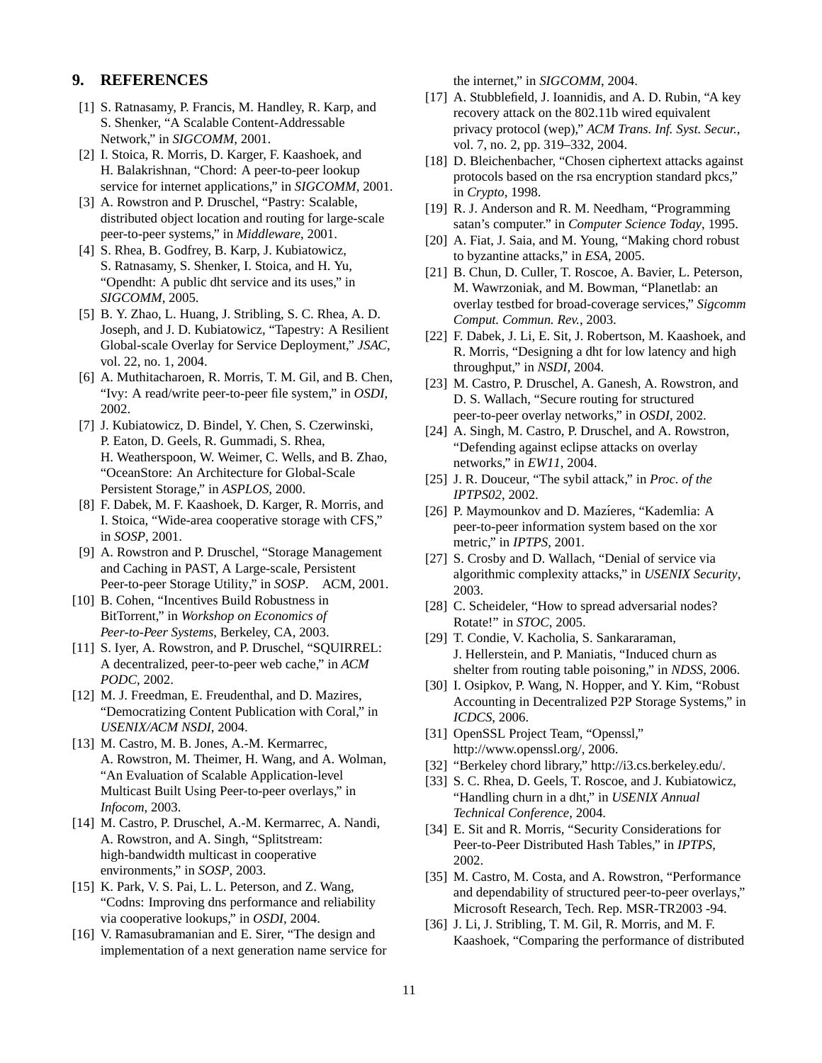# **9. REFERENCES**

- [1] S. Ratnasamy, P. Francis, M. Handley, R. Karp, and S. Shenker, "A Scalable Content-Addressable Network," in *SIGCOMM*, 2001.
- [2] I. Stoica, R. Morris, D. Karger, F. Kaashoek, and H. Balakrishnan, "Chord: A peer-to-peer lookup service for internet applications," in *SIGCOMM*, 2001.
- [3] A. Rowstron and P. Druschel, "Pastry: Scalable, distributed object location and routing for large-scale peer-to-peer systems," in *Middleware*, 2001.
- [4] S. Rhea, B. Godfrey, B. Karp, J. Kubiatowicz, S. Ratnasamy, S. Shenker, I. Stoica, and H. Yu, "Opendht: A public dht service and its uses," in *SIGCOMM*, 2005.
- [5] B. Y. Zhao, L. Huang, J. Stribling, S. C. Rhea, A. D. Joseph, and J. D. Kubiatowicz, "Tapestry: A Resilient Global-scale Overlay for Service Deployment," *JSAC*, vol. 22, no. 1, 2004.
- [6] A. Muthitacharoen, R. Morris, T. M. Gil, and B. Chen, "Ivy: A read/write peer-to-peer file system," in *OSDI*, 2002.
- [7] J. Kubiatowicz, D. Bindel, Y. Chen, S. Czerwinski, P. Eaton, D. Geels, R. Gummadi, S. Rhea, H. Weatherspoon, W. Weimer, C. Wells, and B. Zhao, "OceanStore: An Architecture for Global-Scale Persistent Storage," in *ASPLOS*, 2000.
- [8] F. Dabek, M. F. Kaashoek, D. Karger, R. Morris, and I. Stoica, "Wide-area cooperative storage with CFS," in *SOSP*, 2001.
- [9] A. Rowstron and P. Druschel, "Storage Management and Caching in PAST, A Large-scale, Persistent Peer-to-peer Storage Utility," in *SOSP*. ACM, 2001.
- [10] B. Cohen, "Incentives Build Robustness in BitTorrent," in *Workshop on Economics of Peer-to-Peer Systems*, Berkeley, CA, 2003.
- [11] S. Iyer, A. Rowstron, and P. Druschel, "SQUIRREL: A decentralized, peer-to-peer web cache," in *ACM PODC*, 2002.
- [12] M. J. Freedman, E. Freudenthal, and D. Mazires, "Democratizing Content Publication with Coral," in *USENIX/ACM NSDI*, 2004.
- [13] M. Castro, M. B. Jones, A.-M. Kermarrec, A. Rowstron, M. Theimer, H. Wang, and A. Wolman, "An Evaluation of Scalable Application-level Multicast Built Using Peer-to-peer overlays," in *Infocom*, 2003.
- [14] M. Castro, P. Druschel, A.-M. Kermarrec, A. Nandi, A. Rowstron, and A. Singh, "Splitstream: high-bandwidth multicast in cooperative environments," in *SOSP*, 2003.
- [15] K. Park, V. S. Pai, L. L. Peterson, and Z. Wang, "Codns: Improving dns performance and reliability via cooperative lookups," in *OSDI*, 2004.
- [16] V. Ramasubramanian and E. Sirer, "The design and implementation of a next generation name service for

the internet," in *SIGCOMM*, 2004.

- [17] A. Stubblefield, J. Ioannidis, and A. D. Rubin, "A key recovery attack on the 802.11b wired equivalent privacy protocol (wep)," *ACM Trans. Inf. Syst. Secur.*, vol. 7, no. 2, pp. 319–332, 2004.
- [18] D. Bleichenbacher, "Chosen ciphertext attacks against protocols based on the rsa encryption standard pkcs," in *Crypto*, 1998.
- [19] R. J. Anderson and R. M. Needham, "Programming" satan's computer." in *Computer Science Today*, 1995.
- [20] A. Fiat, J. Saia, and M. Young, "Making chord robust" to byzantine attacks," in *ESA*, 2005.
- [21] B. Chun, D. Culler, T. Roscoe, A. Bavier, L. Peterson, M. Wawrzoniak, and M. Bowman, "Planetlab: an overlay testbed for broad-coverage services," *Sigcomm Comput. Commun. Rev.*, 2003.
- [22] F. Dabek, J. Li, E. Sit, J. Robertson, M. Kaashoek, and R. Morris, "Designing a dht for low latency and high throughput," in *NSDI*, 2004.
- [23] M. Castro, P. Druschel, A. Ganesh, A. Rowstron, and D. S. Wallach, "Secure routing for structured peer-to-peer overlay networks," in *OSDI*, 2002.
- [24] A. Singh, M. Castro, P. Druschel, and A. Rowstron, "Defending against eclipse attacks on overlay networks," in *EW11*, 2004.
- [25] J. R. Douceur, "The sybil attack," in *Proc. of the IPTPS02*, 2002.
- [26] P. Maymounkov and D. Mazíeres, "Kademlia: A peer-to-peer information system based on the xor metric," in *IPTPS*, 2001.
- [27] S. Crosby and D. Wallach, "Denial of service via algorithmic complexity attacks," in *USENIX Security*, 2003.
- [28] C. Scheideler, "How to spread adversarial nodes? Rotate!" in *STOC*, 2005.
- [29] T. Condie, V. Kacholia, S. Sankararaman, J. Hellerstein, and P. Maniatis, "Induced churn as shelter from routing table poisoning," in *NDSS*, 2006.
- [30] I. Osipkov, P. Wang, N. Hopper, and Y. Kim, "Robust Accounting in Decentralized P2P Storage Systems," in *ICDCS*, 2006.
- [31] OpenSSL Project Team, "Openssl," http://www.openssl.org/, 2006.
- [32] "Berkeley chord library," http://i3.cs.berkeley.edu/.
- [33] S. C. Rhea, D. Geels, T. Roscoe, and J. Kubiatowicz, "Handling churn in a dht," in *USENIX Annual Technical Conference*, 2004.
- [34] E. Sit and R. Morris, "Security Considerations for Peer-to-Peer Distributed Hash Tables," in *IPTPS*, 2002.
- [35] M. Castro, M. Costa, and A. Rowstron, "Performance" and dependability of structured peer-to-peer overlays," Microsoft Research, Tech. Rep. MSR-TR2003 -94.
- [36] J. Li, J. Stribling, T. M. Gil, R. Morris, and M. F. Kaashoek, "Comparing the performance of distributed